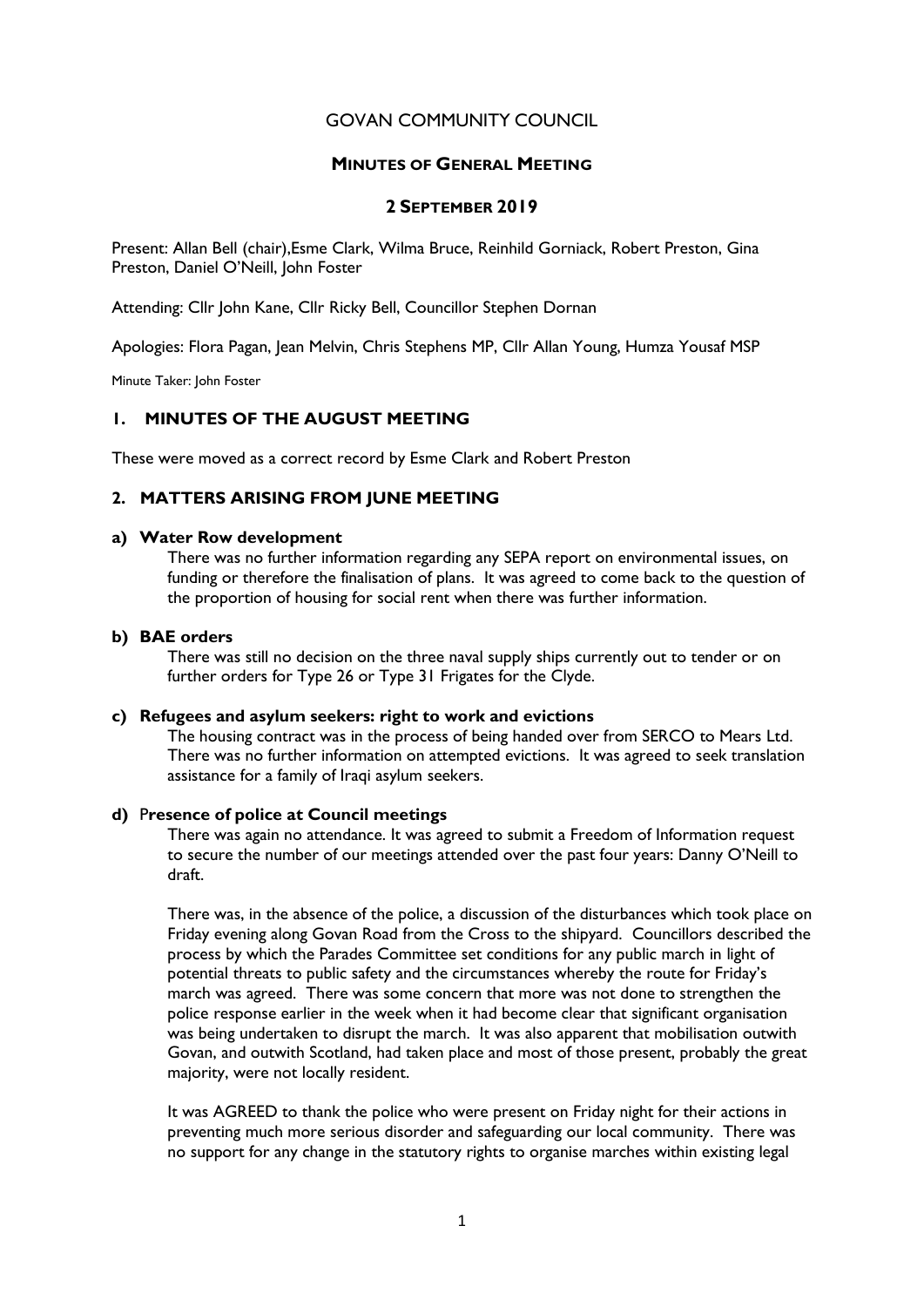# GOVAN COMMUNITY COUNCIL

## MINUTES OF GENERAL MEETING

## 2 SEPTEMBER 2019

Present: Allan Bell (chair),Esme Clark, Wilma Bruce, Reinhild Gorniack, Robert Preston, Gina Preston, Daniel O'Neill, John Foster

Attending: Cllr John Kane, Cllr Ricky Bell, Councillor Stephen Dornan

Apologies: Flora Pagan, Jean Melvin, Chris Stephens MP, Cllr Allan Young, Humza Yousaf MSP

Minute Taker: John Foster

# 1. MINUTES OF THE AUGUST MEETING

These were moved as a correct record by Esme Clark and Robert Preston

# 2. MATTERS ARISING FROM JUNE MEETING

### a) Water Row development

There was no further information regarding any SEPA report on environmental issues, on funding or therefore the finalisation of plans. It was agreed to come back to the question of the proportion of housing for social rent when there was further information.

## b) BAE orders

There was still no decision on the three naval supply ships currently out to tender or on further orders for Type 26 or Type 31 Frigates for the Clyde.

## c) Refugees and asylum seekers: right to work and evictions

The housing contract was in the process of being handed over from SERCO to Mears Ltd. There was no further information on attempted evictions. It was agreed to seek translation assistance for a family of Iraqi asylum seekers.

## d) Presence of police at Council meetings

There was again no attendance. It was agreed to submit a Freedom of Information request to secure the number of our meetings attended over the past four years: Danny O'Neill to draft.

There was, in the absence of the police, a discussion of the disturbances which took place on Friday evening along Govan Road from the Cross to the shipyard. Councillors described the process by which the Parades Committee set conditions for any public march in light of potential threats to public safety and the circumstances whereby the route for Friday's march was agreed. There was some concern that more was not done to strengthen the police response earlier in the week when it had become clear that significant organisation was being undertaken to disrupt the march. It was also apparent that mobilisation outwith Govan, and outwith Scotland, had taken place and most of those present, probably the great majority, were not locally resident.

It was AGREED to thank the police who were present on Friday night for their actions in preventing much more serious disorder and safeguarding our local community. There was no support for any change in the statutory rights to organise marches within existing legal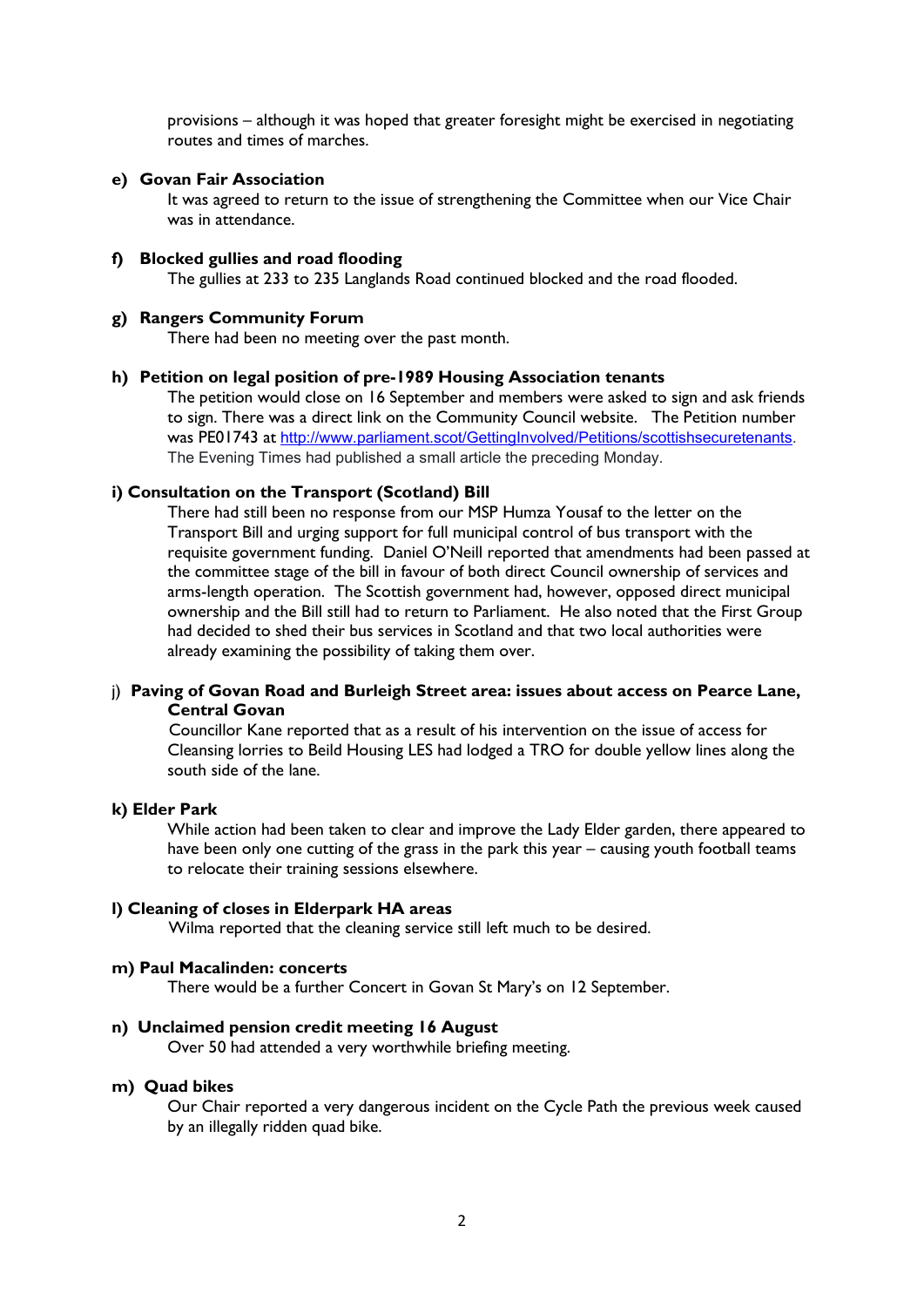provisions – although it was hoped that greater foresight might be exercised in negotiating routes and times of marches.

## e) Govan Fair Association

It was agreed to return to the issue of strengthening the Committee when our Vice Chair was in attendance.

### f) Blocked gullies and road flooding

The gullies at 233 to 235 Langlands Road continued blocked and the road flooded.

## g) Rangers Community Forum

There had been no meeting over the past month.

#### h) Petition on legal position of pre-1989 Housing Association tenants

The petition would close on 16 September and members were asked to sign and ask friends to sign. There was a direct link on the Community Council website. The Petition number was PE01743 at http://www.parliament.scot/GettingInvolved/Petitions/scottishsecuretenants. The Evening Times had published a small article the preceding Monday.

### i) Consultation on the Transport (Scotland) Bill

There had still been no response from our MSP Humza Yousaf to the letter on the Transport Bill and urging support for full municipal control of bus transport with the requisite government funding. Daniel O'Neill reported that amendments had been passed at the committee stage of the bill in favour of both direct Council ownership of services and arms-length operation. The Scottish government had, however, opposed direct municipal ownership and the Bill still had to return to Parliament. He also noted that the First Group had decided to shed their bus services in Scotland and that two local authorities were already examining the possibility of taking them over.

## j) Paving of Govan Road and Burleigh Street area: issues about access on Pearce Lane, Central Govan

 Councillor Kane reported that as a result of his intervention on the issue of access for Cleansing lorries to Beild Housing LES had lodged a TRO for double yellow lines along the south side of the lane.

#### k) Elder Park

While action had been taken to clear and improve the Lady Elder garden, there appeared to have been only one cutting of the grass in the park this year – causing youth football teams to relocate their training sessions elsewhere.

### l) Cleaning of closes in Elderpark HA areas

Wilma reported that the cleaning service still left much to be desired.

#### m) Paul Macalinden: concerts

There would be a further Concert in Govan St Mary's on 12 September.

#### n) Unclaimed pension credit meeting 16 August

Over 50 had attended a very worthwhile briefing meeting.

#### m) Quad bikes

Our Chair reported a very dangerous incident on the Cycle Path the previous week caused by an illegally ridden quad bike.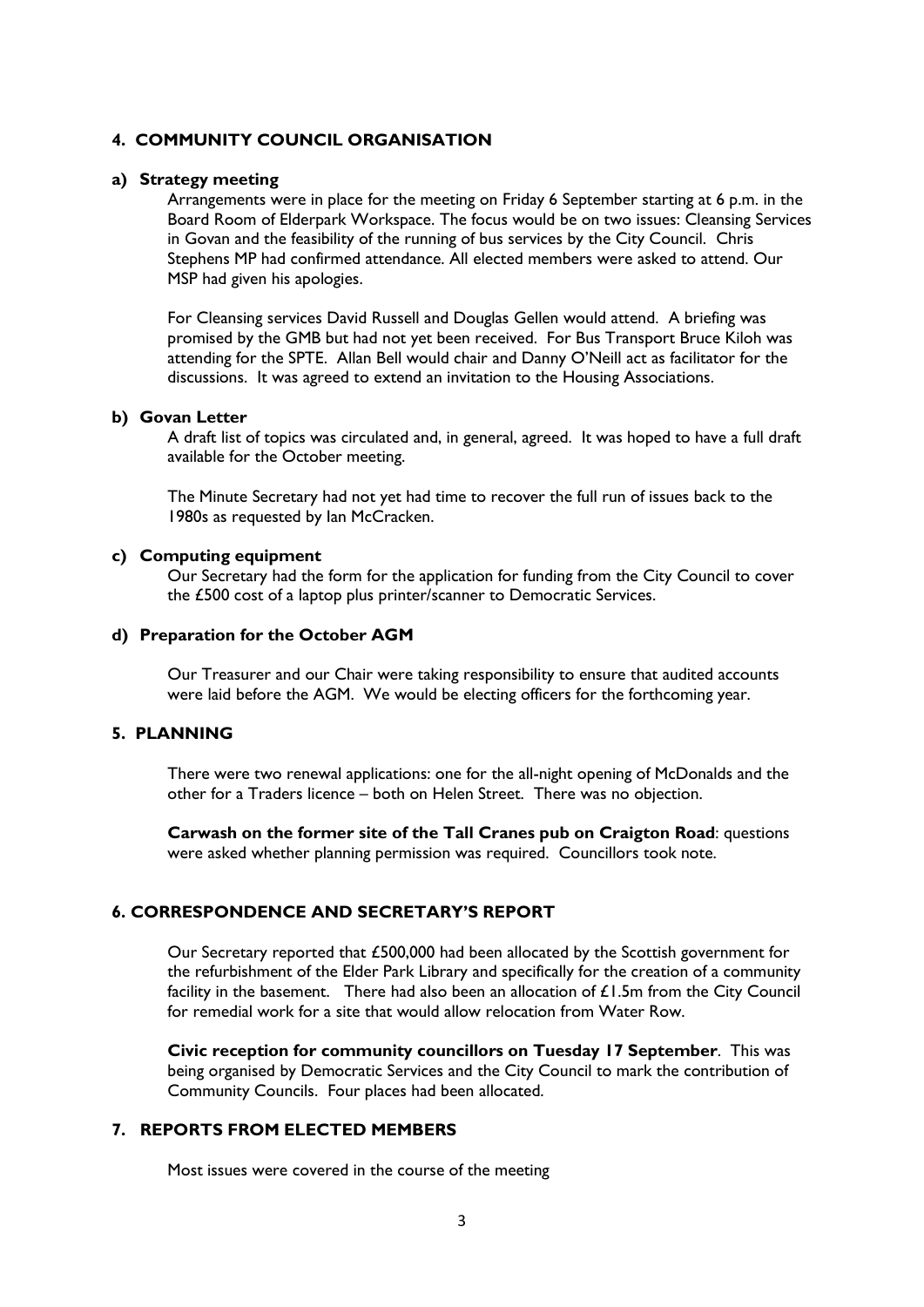## 4. COMMUNITY COUNCIL ORGANISATION

#### a) Strategy meeting

Arrangements were in place for the meeting on Friday 6 September starting at 6 p.m. in the Board Room of Elderpark Workspace. The focus would be on two issues: Cleansing Services in Govan and the feasibility of the running of bus services by the City Council. Chris Stephens MP had confirmed attendance. All elected members were asked to attend. Our MSP had given his apologies.

For Cleansing services David Russell and Douglas Gellen would attend. A briefing was promised by the GMB but had not yet been received. For Bus Transport Bruce Kiloh was attending for the SPTE. Allan Bell would chair and Danny O'Neill act as facilitator for the discussions. It was agreed to extend an invitation to the Housing Associations.

#### b) Govan Letter

A draft list of topics was circulated and, in general, agreed. It was hoped to have a full draft available for the October meeting.

The Minute Secretary had not yet had time to recover the full run of issues back to the 1980s as requested by Ian McCracken.

#### c) Computing equipment

Our Secretary had the form for the application for funding from the City Council to cover the £500 cost of a laptop plus printer/scanner to Democratic Services.

## d) Preparation for the October AGM

Our Treasurer and our Chair were taking responsibility to ensure that audited accounts were laid before the AGM. We would be electing officers for the forthcoming year.

## 5. PLANNING

There were two renewal applications: one for the all-night opening of McDonalds and the other for a Traders licence – both on Helen Street. There was no objection.

Carwash on the former site of the Tall Cranes pub on Craigton Road: questions were asked whether planning permission was required. Councillors took note.

## 6. CORRESPONDENCE AND SECRETARY'S REPORT

Our Secretary reported that £500,000 had been allocated by the Scottish government for the refurbishment of the Elder Park Library and specifically for the creation of a community facility in the basement. There had also been an allocation of £1.5m from the City Council for remedial work for a site that would allow relocation from Water Row.

Civic reception for community councillors on Tuesday 17 September. This was being organised by Democratic Services and the City Council to mark the contribution of Community Councils. Four places had been allocated.

# 7. REPORTS FROM ELECTED MEMBERS

Most issues were covered in the course of the meeting